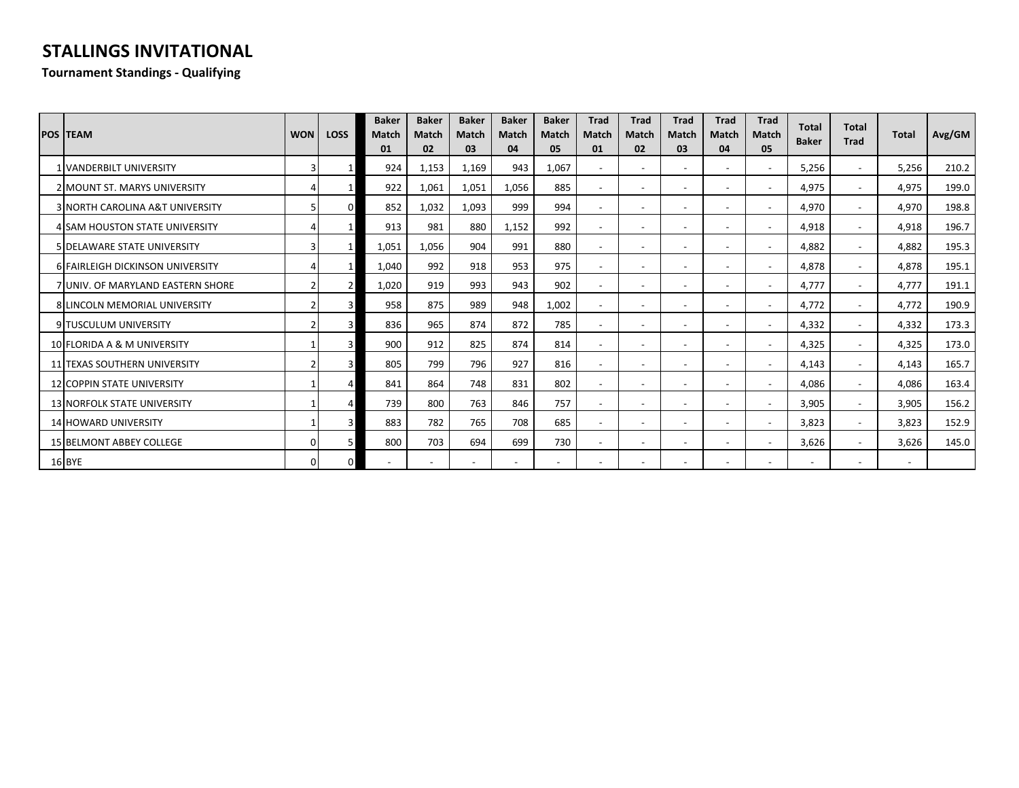## **STALLINGS INVITATIONAL**

## **Tournament Standings - Qualifying**

| <b>POS TEAM</b>                      | <b>WON</b> | <b>LOSS</b> | <b>Baker</b><br><b>Match</b><br>01 | <b>Baker</b><br><b>Match</b><br>02 | <b>Baker</b><br>Match<br>03 | <b>Baker</b><br><b>Match</b><br>04 | <b>Baker</b><br><b>Match</b><br>05 | <b>Trad</b><br><b>Match</b><br>01 | Trad<br><b>Match</b><br>02 | Trad<br>Match<br>03      | <b>Trad</b><br><b>Match</b><br>04 | Trad<br><b>Match</b><br>05 | <b>Total</b><br><b>Baker</b> | <b>Total</b><br><b>Trad</b> | <b>Total</b>             | Avg/GM |
|--------------------------------------|------------|-------------|------------------------------------|------------------------------------|-----------------------------|------------------------------------|------------------------------------|-----------------------------------|----------------------------|--------------------------|-----------------------------------|----------------------------|------------------------------|-----------------------------|--------------------------|--------|
| <b>1 VANDERBILT UNIVERSITY</b>       |            |             | 924                                | 1,153                              | 1,169                       | 943                                | 1,067                              |                                   | $\overline{\phantom{a}}$   |                          |                                   | $\overline{\phantom{a}}$   | 5,256                        | $\overline{\phantom{a}}$    | 5,256                    | 210.2  |
| <b>2 MOUNT ST. MARYS UNIVERSITY</b>  |            |             | 922                                | 1,061                              | 1,051                       | 1,056                              | 885                                |                                   | $\overline{\phantom{a}}$   |                          | $\overline{\phantom{a}}$          | $\sim$                     | 4,975                        | $\overline{\phantom{a}}$    | 4,975                    | 199.0  |
| 3 NORTH CAROLINA A&T UNIVERSITY      |            |             | 852                                | 1,032                              | 1,093                       | 999                                | 994                                |                                   | $\overline{\phantom{a}}$   |                          | $\overline{\phantom{a}}$          | $\overline{\phantom{a}}$   | 4,970                        | $\overline{\phantom{a}}$    | 4,970                    | 198.8  |
| 4 SAM HOUSTON STATE UNIVERSITY       |            |             | 913                                | 981                                | 880                         | 1,152                              | 992                                |                                   | $\overline{\phantom{a}}$   |                          | $\overline{\phantom{0}}$          | $\overline{\phantom{a}}$   | 4,918                        | $\overline{\phantom{a}}$    | 4,918                    | 196.7  |
| <b>5 DELAWARE STATE UNIVERSITY</b>   |            |             | 1,051                              | 1,056                              | 904                         | 991                                | 880                                |                                   | $\overline{\phantom{a}}$   |                          | $\overline{\phantom{0}}$          | $\overline{\phantom{a}}$   | 4,882                        | $\overline{\phantom{a}}$    | 4,882                    | 195.3  |
| 6 FAIRLEIGH DICKINSON UNIVERSITY     |            |             | 1,040                              | 992                                | 918                         | 953                                | 975                                |                                   | $\blacksquare$             |                          | ٠                                 | $\sim$                     | 4,878                        | $\overline{\phantom{a}}$    | 4,878                    | 195.1  |
| 7 JUNIV. OF MARYLAND EASTERN SHORE   |            |             | 1,020                              | 919                                | 993                         | 943                                | 902                                |                                   | $\blacksquare$             |                          | $\overline{a}$                    | $\overline{\phantom{a}}$   | 4,777                        | $\overline{\phantom{a}}$    | 4,777                    | 191.1  |
| <b>8 LINCOLN MEMORIAL UNIVERSITY</b> |            |             | 958                                | 875                                | 989                         | 948                                | 1,002                              |                                   | $\blacksquare$             |                          | ٠                                 | $\overline{\phantom{a}}$   | 4,772                        | $\overline{\phantom{a}}$    | 4,772                    | 190.9  |
| 9 TUSCULUM UNIVERSITY                |            |             | 836                                | 965                                | 874                         | 872                                | 785                                |                                   | $\overline{\phantom{a}}$   | $\overline{\phantom{a}}$ | $\overline{\phantom{0}}$          | $\overline{\phantom{a}}$   | 4,332                        | $\overline{\phantom{a}}$    | 4,332                    | 173.3  |
| 10 FLORIDA A & M UNIVERSITY          |            |             | 900                                | 912                                | 825                         | 874                                | 814                                |                                   | $\overline{\phantom{a}}$   |                          | $\qquad \qquad \blacksquare$      | $\overline{\phantom{a}}$   | 4,325                        | $\overline{\phantom{a}}$    | 4,325                    | 173.0  |
| 11 TEXAS SOUTHERN UNIVERSITY         |            |             | 805                                | 799                                | 796                         | 927                                | 816                                | $\sim$                            | $\overline{\phantom{a}}$   | $\overline{\phantom{0}}$ | $\overline{\phantom{0}}$          | $\overline{\phantom{a}}$   | 4,143                        | $\overline{\phantom{a}}$    | 4,143                    | 165.7  |
| <b>12 COPPIN STATE UNIVERSITY</b>    |            |             | 841                                | 864                                | 748                         | 831                                | 802                                | $\sim$                            | $\overline{\phantom{a}}$   |                          | $\overline{\phantom{0}}$          | $\overline{\phantom{a}}$   | 4.086                        | $\overline{\phantom{a}}$    | 4,086                    | 163.4  |
| <b>13 NORFOLK STATE UNIVERSITY</b>   |            |             | 739                                | 800                                | 763                         | 846                                | 757                                | $\overline{\phantom{a}}$          | $\overline{\phantom{a}}$   |                          | $\qquad \qquad \blacksquare$      | $\overline{\phantom{a}}$   | 3,905                        | $\overline{\phantom{a}}$    | 3,905                    | 156.2  |
| 14 HOWARD UNIVERSITY                 |            |             | 883                                | 782                                | 765                         | 708                                | 685                                |                                   | $\overline{\phantom{a}}$   |                          | $\overline{\phantom{a}}$          | $\overline{\phantom{a}}$   | 3,823                        | $\overline{\phantom{a}}$    | 3,823                    | 152.9  |
| <b>15 BELMONT ABBEY COLLEGE</b>      |            |             | 800                                | 703                                | 694                         | 699                                | 730                                | $\overline{\phantom{a}}$          | $\overline{\phantom{a}}$   |                          | $\qquad \qquad \blacksquare$      | $\overline{\phantom{a}}$   | 3,626                        | $\overline{\phantom{a}}$    | 3,626                    | 145.0  |
| 16 BYE                               |            |             |                                    |                                    |                             | $\overline{\phantom{a}}$           | $\overline{\phantom{a}}$           |                                   | $\blacksquare$             |                          |                                   | $\overline{\phantom{a}}$   |                              | $\overline{\phantom{a}}$    | $\overline{\phantom{m}}$ |        |